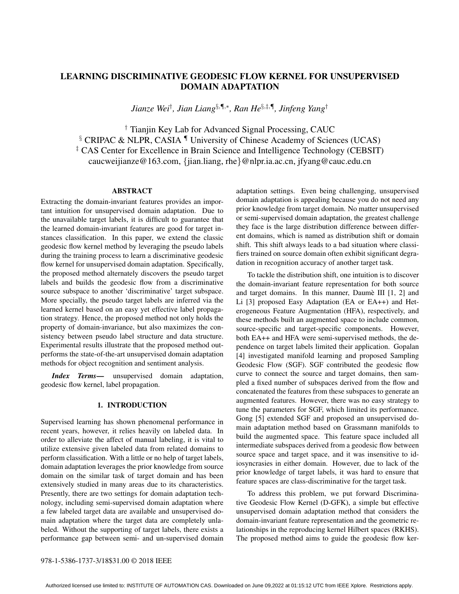# LEARNING DISCRIMINATIVE GEODESIC FLOW KERNEL FOR UNSUPERVISED DOMAIN ADAPTATION

*Jianze Wei*† *, Jian Liang*§,¶,<sup>∗</sup> *, Ran He*§,‡,¶ *, Jinfeng Yang*†

† Tianjin Key Lab for Advanced Signal Processing, CAUC § CRIPAC & NLPR, CASIA ¶ University of Chinese Academy of Sciences (UCAS) ‡ CAS Center for Excellence in Brain Science and Intelligence Technology (CEBSIT) caucweijianze@163.com, {jian.liang, rhe}@nlpr.ia.ac.cn, jfyang@cauc.edu.cn

# ABSTRACT

Extracting the domain-invariant features provides an important intuition for unsupervised domain adaptation. Due to the unavailable target labels, it is difficult to guarantee that the learned domain-invariant features are good for target instances classification. In this paper, we extend the classic geodesic flow kernel method by leveraging the pseudo labels during the training process to learn a discriminative geodesic flow kernel for unsupervised domain adaptation. Specifically, the proposed method alternately discovers the pseudo target labels and builds the geodesic flow from a discriminative source subspace to another 'discriminative' target subspace. More specially, the pseudo target labels are inferred via the learned kernel based on an easy yet effective label propagation strategy. Hence, the proposed method not only holds the property of domain-invariance, but also maximizes the consistency between pseudo label structure and data structure. Experimental results illustrate that the proposed method outperforms the state-of-the-art unsupervised domain adaptation methods for object recognition and sentiment analysis.

*Index Terms*— unsupervised domain adaptation, geodesic flow kernel, label propagation.

# 1. INTRODUCTION

Supervised learning has shown phenomenal performance in recent years, however, it relies heavily on labeled data. In order to alleviate the affect of manual labeling, it is vital to utilize extensive given labeled data from related domains to perform classification. With a little or no help of target labels, domain adaptation leverages the prior knowledge from source domain on the similar task of target domain and has been extensively studied in many areas due to its characteristics. Presently, there are two settings for domain adaptation technology, including semi-supervised domain adaptation where a few labeled target data are available and unsupervised domain adaptation where the target data are completely unlabeled. Without the supporting of target labels, there exists a performance gap between semi- and un-supervised domain adaptation settings. Even being challenging, unsupervised domain adaptation is appealing because you do not need any prior knowledge from target domain. No matter unsupervised or semi-supervised domain adaptation, the greatest challenge they face is the large distribution difference between different domains, which is named as distribution shift or domain shift. This shift always leads to a bad situation where classifiers trained on source domain often exhibit significant degradation in recognition accuracy of another target task.

To tackle the distribution shift, one intuition is to discover the domain-invariant feature representation for both source and target domains. In this manner, Daumè III [1, 2] and Li [3] proposed Easy Adaptation (EA or EA++) and Heterogeneous Feature Augmentation (HFA), respectively, and these methods built an augmented space to include common, source-specific and target-specific components. However, both EA++ and HFA were semi-supervised methods, the dependence on target labels limited their application. Gopalan [4] investigated manifold learning and proposed Sampling Geodesic Flow (SGF). SGF contributed the geodesic flow curve to connect the source and target domains, then sampled a fixed number of subspaces derived from the flow and concatenated the features from these subspaces to generate an augmented features. However, there was no easy strategy to tune the parameters for SGF, which limited its performance. Gong [5] extended SGF and proposed an unsupervised domain adaptation method based on Grassmann manifolds to build the augmented space. This feature space included all intermediate subspaces derived from a geodesic flow between source space and target space, and it was insensitive to idiosyncrasies in either domain. However, due to lack of the prior knowledge of target labels, it was hard to ensure that feature spaces are class-discriminative for the target task.

To address this problem, we put forward Discriminative Geodesic Flow Kernel (D-GFK), a simple but effective unsupervised domain adaptation method that considers the domain-invariant feature representation and the geometric relationships in the reproducing kernel Hilbert spaces (RKHS). The proposed method aims to guide the geodesic flow ker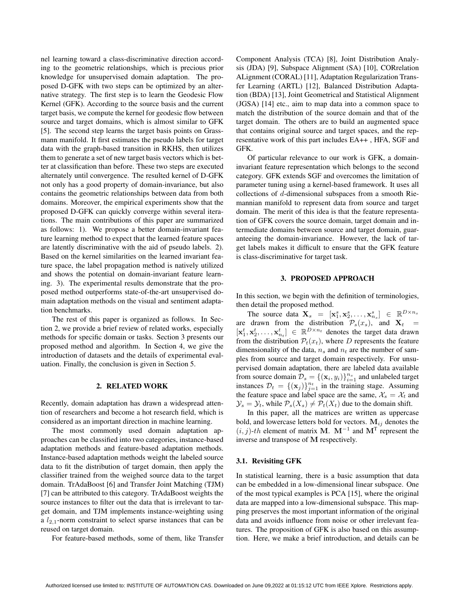nel learning toward a class-discriminative direction according to the geometric relationships, which is precious prior knowledge for unsupervised domain adaptation. The proposed D-GFK with two steps can be optimized by an alternative strategy. The first step is to learn the Geodesic Flow Kernel (GFK). According to the source basis and the current target basis, we compute the kernel for geodesic flow between source and target domains, which is almost similar to GFK [5]. The second step learns the target basis points on Grassmann manifold. It first estimates the pseudo labels for target data with the graph-based transition in RKHS, then utilizes them to generate a set of new target basis vectors which is better at classification than before. These two steps are executed alternately until convergence. The resulted kernel of D-GFK not only has a good property of domain-invariance, but also contains the geometric relationships between data from both domains. Moreover, the empirical experiments show that the proposed D-GFK can quickly converge within several iterations. The main contributions of this paper are summarized as follows: 1). We propose a better domain-invariant feature learning method to expect that the learned feature spaces are latently discriminative with the aid of pseudo labels. 2). Based on the kernel similarities on the learned invariant feature space, the label propagation method is natively utilized and shows the potential on domain-invariant feature learning. 3). The experimental results demonstrate that the proposed method outperforms state-of-the-art unsupervised domain adaptation methods on the visual and sentiment adaptation benchmarks.

The rest of this paper is organized as follows. In Section 2, we provide a brief review of related works, especially methods for specific domain or tasks. Section 3 presents our proposed method and algorithm. In Section 4, we give the introduction of datasets and the details of experimental evaluation. Finally, the conclusion is given in Section 5.

### 2. RELATED WORK

Recently, domain adaptation has drawn a widespread attention of researchers and become a hot research field, which is considered as an important direction in machine learning.

The most commonly used domain adaptation approaches can be classified into two categories, instance-based adaptation methods and feature-based adaptation methods. Instance-based adaptation methods weight the labeled source data to fit the distribution of target domain, then apply the classifier trained from the weighed source data to the target domain. TrAdaBoost [6] and Transfer Joint Matching (TJM) [7] can be attributed to this category. TrAdaBoost weights the source instances to filter out the data that is irrelevant to target domain, and TJM implements instance-weighting using a  $l_{2,1}$ -norm constraint to select sparse instances that can be reused on target domain.

For feature-based methods, some of them, like Transfer

Component Analysis (TCA) [8], Joint Distribution Analysis (JDA) [9], Subspace Alignment (SA) [10], CORrelation ALignment (CORAL) [11], Adaptation Regularization Transfer Learning (ARTL) [12], Balanced Distribution Adaptation (BDA) [13], Joint Geometrical and Statistical Alignment (JGSA) [14] etc., aim to map data into a common space to match the distribution of the source domain and that of the target domain. The others are to build an augmented space that contains original source and target spaces, and the representative work of this part includes EA++ , HFA, SGF and GFK.

Of particular relevance to our work is GFK, a domaininvariant feature representation which belongs to the second category. GFK extends SGF and overcomes the limitation of parameter tuning using a kernel-based framework. It uses all collections of d-dimensional subspaces from a smooth Riemannian manifold to represent data from source and target domain. The merit of this idea is that the feature representation of GFK covers the source domain, target domain and intermediate domains between source and target domain, guaranteeing the domain-invariance. However, the lack of target labels makes it difficult to ensure that the GFK feature is class-discriminative for target task.

#### 3. PROPOSED APPROACH

In this section, we begin with the definition of terminologies, then detail the proposed method.

The source data  $\mathbf{X}_s = [\mathbf{x}_1^s, \mathbf{x}_2^s, \dots, \mathbf{x}_{n_s}^s] \in \mathbb{R}^{D \times n_s}$ are drawn from the distribution  $P_s(x_s)$ , and  $X_t =$  $[\mathbf{x}_1^t, \mathbf{x}_2^t, \dots, \mathbf{x}_{n_t}^t] \in \mathbb{R}^{D \times n_t}$  denotes the target data drawn from the distribution  $P_t(x_t)$ , where D represents the feature dimensionality of the data,  $n_s$  and  $n_t$  are the number of samples from source and target domain respectively. For unsupervised domain adaptation, there are labeled data available from source domain  $\mathcal{D}_s = \{(\mathbf{x}_i, y_i)\}_{i=1}^{n_s}$  and unlabeled target instances  $\mathcal{D}_t = \{(\mathbf{x}_j)\}_{j=1}^{n_t}$  in the training stage. Assuming the feature space and label space are the same,  $\mathcal{X}_s = \mathcal{X}_t$  and  $\mathcal{Y}_s = \mathcal{Y}_t$ , while  $\mathcal{P}_s(X_s) \neq \mathcal{P}_t(X_t)$  due to the domain shift.

In this paper, all the matrices are written as uppercase bold, and lowercase letters bold for vectors.  $M_{ij}$  denotes the  $(i, j)$ -th element of matrix M. M<sup>-1</sup> and M<sup>T</sup> represent the inverse and transpose of M respectively.

#### 3.1. Revisiting GFK

In statistical learning, there is a basic assumption that data can be embedded in a low-dimensional linear subspace. One of the most typical examples is PCA [15], where the original data are mapped into a low-dimensional subspace. This mapping preserves the most important information of the original data and avoids influence from noise or other irrelevant features. The proposition of GFK is also based on this assumption. Here, we make a brief introduction, and details can be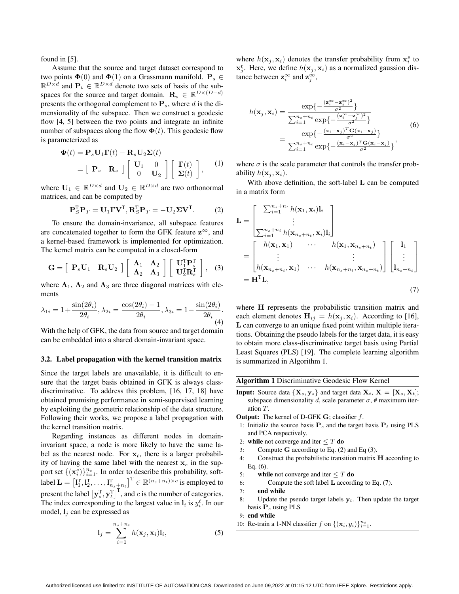found in [5].

Assume that the source and target dataset correspond to two points  $\mathbf{\Phi}(0)$  and  $\mathbf{\Phi}(1)$  on a Grassmann manifold.  $\mathbf{P}_s \in \mathbb{R}$  $\mathbb{R}^{D \times d}$  and  $\mathbf{P}_t \in \mathbb{R}^{D \times d}$  denote two sets of basis of the subspaces for the source and target domain.  $\mathbf{R}_s \in \mathbb{R}^{D \times (D-d)}$ presents the orthogonal complement to  $P_s$ , where d is the dimensionality of the subspace. Then we construct a geodesic flow [4, 5] between the two points and integrate an infinite number of subspaces along the flow  $\Phi(t)$ . This geodesic flow is parameterized as

$$
\begin{aligned} \n\Phi(t) &= \mathbf{P}_s \mathbf{U}_1 \mathbf{\Gamma}(t) - \mathbf{R}_s \mathbf{U}_2 \mathbf{\Sigma}(t) \\ \n&= \begin{bmatrix} \mathbf{P}_s & \mathbf{R}_s \end{bmatrix} \begin{bmatrix} \mathbf{U}_1 & 0 \\ 0 & \mathbf{U}_2 \end{bmatrix} \begin{bmatrix} \mathbf{\Gamma}(t) \\ \mathbf{\Sigma}(t) \end{bmatrix}, \n\end{aligned} \tag{1}
$$

where  $\mathbf{U}_1 \in \mathbb{R}^{D \times d}$  and  $\mathbf{U}_2 \in \mathbb{R}^{D \times d}$  are two orthonormal matrices, and can be computed by

$$
\mathbf{P}_S^{\mathrm{T}} \mathbf{P}_T = \mathbf{U}_1 \mathbf{\Gamma} \mathbf{V}^{\mathrm{T}}, \mathbf{R}_S^{\mathrm{T}} \mathbf{P}_T = -\mathbf{U}_2 \mathbf{\Sigma} \mathbf{V}^{\mathrm{T}}.
$$
 (2)

To ensure the domain-invariance, all subspace features are concatenated together to form the GFK feature  $z^{\infty}$ , and a kernel-based framework is implemented for optimization. The kernel matrix can be computed in a closed-form

$$
\mathbf{G} = \begin{bmatrix} \mathbf{P}_s \mathbf{U}_1 & \mathbf{R}_s \mathbf{U}_2 \end{bmatrix} \begin{bmatrix} \mathbf{\Lambda}_1 & \mathbf{\Lambda}_2 \\ \mathbf{\Lambda}_2 & \mathbf{\Lambda}_3 \end{bmatrix} \begin{bmatrix} \mathbf{U}_1^{\mathrm{T}} \mathbf{P}_s^{\mathrm{T}} \\ \mathbf{U}_2^{\mathrm{T}} \mathbf{R}_s^{\mathrm{T}} \end{bmatrix}, \quad (3)
$$

where  $\Lambda_1$ ,  $\Lambda_2$  and  $\Lambda_3$  are three diagonal matrices with elements

$$
\lambda_{1i} = 1 + \frac{\sin(2\theta_i)}{2\theta_i}, \lambda_{2i} = \frac{\cos(2\theta_i) - 1}{2\theta_i}, \lambda_{3i} = 1 - \frac{\sin(2\theta_i)}{2\theta_i}.
$$
\n(4)

With the help of GFK, the data from source and target domain can be embedded into a shared domain-invariant space.

#### 3.2. Label propagation with the kernel transition matrix

Since the target labels are unavailable, it is difficult to ensure that the target basis obtained in GFK is always classdiscriminative. To address this problem, [16, 17, 18] have obtained promising performance in semi-supervised learning by exploiting the geometric relationship of the data structure. Following their works, we propose a label propagation with the kernel transition matrix.

Regarding instances as different nodes in domaininvariant space, a node is more likely to have the same label as the nearest node. For  $x_t$ , there is a larger probability of having the same label with the nearest  $x_s$  in the support set  $\{(\mathbf{x}_{i}^{s})\}_{i=1}^{n_s}$ . In order to describe this probability, softlabel  $\mathbf{L} = \left[\mathbf{l}_1^{\mathrm{T}}, \mathbf{l}_2^{\mathrm{T}}, \ldots, \mathbf{l}_{n_s+n_t}^{\mathrm{T}}\right]^{\mathrm{T}} \in \mathbb{R}^{(n_s+n_t) \times c}$  is employed to present the label  $\left[\mathbf{y}_s^{\mathrm{T}}, \mathbf{y}_t^{\mathrm{T}}\right]^{\mathrm{T}}$ , and c is the number of categories. The index corresponding to the largest value in  $l_i$  is  $y_i^t$ . In our model,  $l_i$  can be expressed as

$$
\mathbf{l}_j = \sum_{i=1}^{n_s + n_t} h(\mathbf{x}_j, \mathbf{x}_i) \mathbf{l}_i,
$$
 (5)

where  $h(\mathbf{x}_j, \mathbf{x}_i)$  denotes the transfer probability from  $\mathbf{x}_i^s$  to  $\mathbf{x}_j^t$ . Here, we define  $h(\mathbf{x}_j, \mathbf{x}_i)$  as a normalized gaussion distance between  $\mathbf{z}_i^{\infty}$  and  $\mathbf{z}_j^{\infty}$ ,

$$
h(\mathbf{x}_j, \mathbf{x}_i) = \frac{\exp\left\{-\frac{(\mathbf{z}_i^{\infty} - \mathbf{z}_j^{\infty})^2}{\sigma^2}\right\}}{\sum_{i=1}^{n_s + n_t} \exp\left\{-\frac{(\mathbf{z}_i^{\infty} - \mathbf{z}_j^{\infty})^2}{\sigma^2}\right\}}
$$
  
= 
$$
\frac{\exp\left\{-\frac{(\mathbf{x}_i - \mathbf{x}_j)^T \mathbf{G}(\mathbf{x}_i - \mathbf{x}_j)}{\sigma^2}\right\}}{\sum_{i=1}^{n_s + n_t} \exp\left\{-\frac{(\mathbf{x}_i - \mathbf{x}_j)^T \mathbf{G}(\mathbf{x}_i - \mathbf{x}_j)}{\sigma^2}\right\}},
$$
(6)

where  $\sigma$  is the scale parameter that controls the transfer probability  $h(\mathbf{x}_i, \mathbf{x}_i)$ .

With above definition, the soft-label **L** can be computed in a matrix form

$$
\mathbf{L} = \begin{bmatrix} \sum_{i=1}^{n_s + n_t} h(\mathbf{x}_1, \mathbf{x}_i) \mathbf{l}_i \\ \vdots \\ \sum_{i=1}^{n_s + n_t} h(\mathbf{x}_{n_s + n_t}, \mathbf{x}_i) \mathbf{l}_i \end{bmatrix}
$$
  
= 
$$
\begin{bmatrix} h(\mathbf{x}_1, \mathbf{x}_1) & \cdots & h(\mathbf{x}_1, \mathbf{x}_{n_s + n_t}) \\ \vdots & & \vdots \\ h(\mathbf{x}_{n_s + n_t}, \mathbf{x}_1) & \cdots & h(\mathbf{x}_{n_s + n_t}, \mathbf{x}_{n_s + n_t}) \end{bmatrix} \begin{bmatrix} \mathbf{l}_1 \\ \vdots \\ \mathbf{l}_{n_s + n_t} \end{bmatrix}
$$
  
= 
$$
\mathbf{H}^{\mathrm{T}} \mathbf{L}, \tag{7}
$$

where **H** represents the probabilistic transition matrix and each element denotes  $\mathbf{H}_{ij} = h(\mathbf{x}_j, \mathbf{x}_i)$ . According to [16], L can converge to an unique fixed point within multiple iterations. Obtaining the pseudo labels for the target data, it is easy to obtain more class-discriminative target basis using Partial Least Squares (PLS) [19]. The complete learning algorithm is summarized in Algorithm 1.

Algorithm 1 Discriminative Geodesic Flow Kernel

**Input:** Source data  $\{X_s, y_s\}$  and target data  $X_t$ ,  $X = [X_s, X_t]$ ; subspace dimensionality d, scale parameter  $\sigma$ , # maximum iteration T.

**Output:** The kernel of D-GFK  $G$ ; classifier  $f$ .

- 1: Initializ the source basis  $P_s$  and the target basis  $P_t$  using PLS and PCA respectively.
- 2: while not converge and iter  $\leq T$  do
- 3: Compute G according to Eq. (2) and Eq (3).
- 4: Construct the probabilistic transition matrix H according to Eq. (6).
- 5: while not converge and iter  $\leq T$  do
- 6: Compute the soft label  $\bf{L}$  according to Eq. (7).
- 7: end while
- 8: Update the pseudo target labels  $y_t$ . Then update the target basis  $P_s$  using PLS
- 9: end while
- 10: Re-train a 1-NN classifier f on  $\{(\mathbf{x}_i, y_i)\}_{i=1}^{n_s}$ .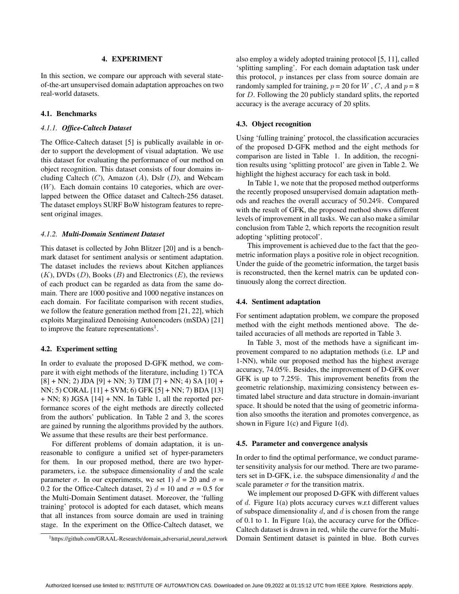### 4. EXPERIMENT

In this section, we compare our approach with several stateof-the-art unsupervised domain adaptation approaches on two real-world datasets.

### 4.1. Benchmarks

### *4.1.1. Office-Caltech Dataset*

The Office-Caltech dataset [5] is publically available in order to support the development of visual adaptation. We use this dataset for evaluating the performance of our method on object recognition. This dataset consists of four domains including Caltech  $(C)$ , Amazon  $(A)$ , Dslr  $(D)$ , and Webcam  $(W)$ . Each domain contains 10 categories, which are overlapped between the Office dataset and Caltech-256 dataset. The dataset employs SURF BoW histogram features to represent original images.

### *4.1.2. Multi-Domain Sentiment Dataset*

This dataset is collected by John Blitzer [20] and is a benchmark dataset for sentiment analysis or sentiment adaptation. The dataset includes the reviews about Kitchen appliances  $(K)$ , DVDs  $(D)$ , Books  $(B)$  and Electronics  $(E)$ , the reviews of each product can be regarded as data from the same domain. There are 1000 positive and 1000 negative instances on each domain. For facilitate comparison with recent studies, we follow the feature generation method from [21, 22], which exploits Marginalized Denoising Autoencoders (mSDA) [21] to improve the feature representations<sup>1</sup>.

### 4.2. Experiment setting

In order to evaluate the proposed D-GFK method, we compare it with eight methods of the literature, including 1) TCA  $[8] + NN$ ; 2) JDA  $[9] + NN$ ; 3) TJM  $[7] + NN$ ; 4) SA  $[10] +$ NN; 5) CORAL [11] + SVM; 6) GFK [5] + NN; 7) BDA [13] + NN; 8) JGSA [14] + NN. In Table 1, all the reported performance scores of the eight methods are directly collected from the authors' publication. In Table 2 and 3, the scores are gained by running the algorithms provided by the authors. We assume that these results are their best performance.

For different problems of domain adaptation, it is unreasonable to configure a unified set of hyper-parameters for them. In our proposed method, there are two hyperparameters, i.e. the subspace dimensionality  $d$  and the scale parameter  $\sigma$ . In our experiments, we set 1)  $d = 20$  and  $\sigma =$ 0.2 for the Office-Caltech dataset, 2)  $d = 10$  and  $\sigma = 0.5$  for the Multi-Domain Sentiment dataset. Moreover, the 'fulling training' protocol is adopted for each dataset, which means that all instances from source domain are used in training stage. In the experiment on the Office-Caltech dataset, we

also employ a widely adopted training protocol [5, 11], called 'splitting sampling'. For each domain adaptation task under this protocol, p instances per class from source domain are randomly sampled for training,  $p = 20$  for W, C, A and  $p = 8$ for D. Following the 20 publicly standard splits, the reported accuracy is the average accuracy of 20 splits.

### 4.3. Object recognition

Using 'fulling training' protocol, the classification accuracies of the proposed D-GFK method and the eight methods for comparison are listed in Table 1. In addition, the recognition results using 'splitting protocol' are given in Table 2. We highlight the highest accuracy for each task in bold.

In Table 1, we note that the proposed method outperforms the recently proposed unsupervised domain adaptation methods and reaches the overall accuracy of 50.24%. Compared with the result of GFK, the proposed method shows different levels of improvement in all tasks. We can also make a similar conclusion from Table 2, which reports the recognition result adopting 'splitting protocol'.

This improvement is achieved due to the fact that the geometric information plays a positive role in object recognition. Under the guide of the geometric information, the target basis is reconstructed, then the kernel matrix can be updated continuously along the correct direction.

#### 4.4. Sentiment adaptation

For sentiment adaptation problem, we compare the proposed method with the eight methods mentioned above. The detailed accuracies of all methods are reported in Table 3.

In Table 3, most of the methods have a significant improvement compared to no adaptation methods (i.e. LP and 1-NN), while our proposed method has the highest average accuracy, 74.05%. Besides, the improvement of D-GFK over GFK is up to 7.25%. This improvement benefits from the geometric relationship, maximizing consistency between estimated label structure and data structure in domain-invariant space. It should be noted that the using of geometric information also smooths the iteration and promotes convergence, as shown in Figure 1(c) and Figure 1(d).

#### 4.5. Parameter and convergence analysis

In order to find the optimal performance, we conduct parameter sensitivity analysis for our method. There are two parameters set in D-GFK, i.e. the subspace dimensionality  $d$  and the scale parameter  $\sigma$  for the transition matrix.

We implement our proposed D-GFK with different values of d. Figure 1(a) plots accuracy curves w.r.t different values of subspace dimensionality  $d$ , and  $d$  is chosen from the range of 0.1 to 1. In Figure 1(a), the accuracy curve for the Office-Caltech dataset is drawn in red, while the curve for the Multi-Domain Sentiment dataset is painted in blue. Both curves

<sup>&</sup>lt;sup>1</sup>https://github.com/GRAAL-Research/domain\_adversarial\_neural\_network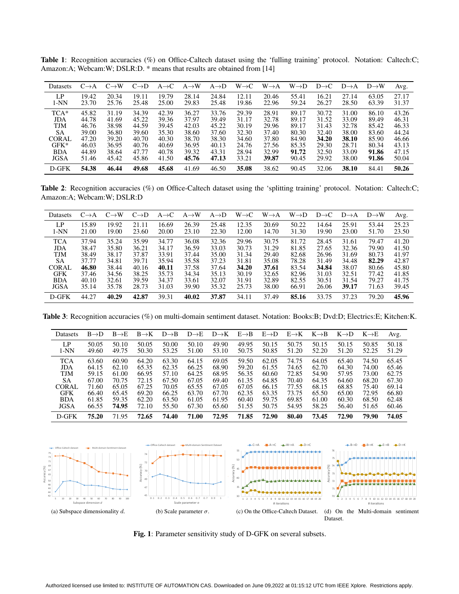| Datasets     | $C \rightarrow A$ | $C \rightarrow W$ | $C\rightarrow D$ | $A \rightarrow C$ | $A \rightarrow W$ | $A\rightarrow D$ | $W \rightarrow C$ | $W \rightarrow A$ | $W \rightarrow D$ | $D \rightarrow C$ | $D\rightarrow A$ | $D \rightarrow W$ | Avg.  |
|--------------|-------------------|-------------------|------------------|-------------------|-------------------|------------------|-------------------|-------------------|-------------------|-------------------|------------------|-------------------|-------|
| LP           | 19.42             | 20.34             | 19.11            | 19.79             | 28.14             | 24.84            | 12.11             | 20.46             | 55.41             | 16.21             | 27.14            | 63.05             | 27.17 |
| $1-NN$       | 23.70             | 25.76             | 25.48            | 25.00             | 29.83             | 25.48            | 19.86             | 22.96             | 59.24             | 26.27             | 28.50            | 63.39             | 31.37 |
| $TCA*$       | 45.82             | 31.19             | 34.39            | 42.39             | 36.27             | 33.76            | 29.39             | 28.91             | 89.17             | 30.72             | 31.00            | 86.10             | 43.26 |
| JDA          | 44.78             | 41.69             | 45.22            | 39.36             | 37.97             | 39.49            | 31.17             | 32.78             | 89.17             | 31.52             | 33.09            | 89.49             | 46.31 |
| <b>TJM</b>   | 46.76             | 38.98             | 44.59            | 39.45             | 42.03             | 45.22            | 30.19             | 29.96             | 89.17             | 31.43             | 32.78            | 85.42             | 46.33 |
| SА           | 39.00             | 36.80             | 39.60            | 35.30             | 38.60             | 37.60            | 32.30             | 37.40             | 80.30             | 32.40             | 38.00            | 83.60             | 44.24 |
| <b>CORAL</b> | 47.20             | 39.20             | 40.70            | 40.30             | 38.70             | 38.30            | 34.60             | 37.80             | 84.90             | 34.20             | 38.10            | 85.90             | 46.66 |
| $GFK^*$      | 46.03             | 36.95             | 40.76            | 40.69             | 36.95             | 40.13            | 24.76             | 27.56             | 85.35             | 29.30             | 28.71            | 80.34             | 43.13 |
| <b>BDA</b>   | 44.89             | 38.64             | 47.77            | 40.78             | 39.32             | 43.31            | 28.94             | 32.99             | 91.72             | 32.50             | 33.09            | 91.86             | 47.15 |
| <b>JGSA</b>  | 51.46             | 45.42             | 45.86            | 41.50             | 45.76             | 47.13            | 33.21             | 39.87             | 90.45             | 29.92             | 38.00            | 91.86             | 50.04 |
| D-GFK        | 54.38             | 46.44             | 49.68            | 45.68             | 41.69             | 46.50            | 35.08             | 38.62             | 90.45             | 32.06             | 38.10            | 84.41             | 50.26 |

Table 1: Recognition accuracies (%) on Office-Caltech dataset using the 'fulling training' protocol. Notation: Caltech:C; Amazon:A; Webcam:W; DSLR:D. \* means that results are obtained from [14]

Table 2: Recognition accuracies (%) on Office-Caltech dataset using the 'splitting training' protocol. Notation: Caltech:C; Amazon:A; Webcam:W; DSLR:D

| <b>Datasets</b> | $C \rightarrow A$ | $C \rightarrow W$ | $C\rightarrow D$ | $A \rightarrow C$ | $A \rightarrow W$ | $A\rightarrow D$ | $W \rightarrow C$ | $W \rightarrow A$ | $W \rightarrow D$ | $D \rightarrow C$ | $D\rightarrow A$ | $D \rightarrow W$ | Avg.  |
|-----------------|-------------------|-------------------|------------------|-------------------|-------------------|------------------|-------------------|-------------------|-------------------|-------------------|------------------|-------------------|-------|
| LP              | 15.89             | 19.92             | 21.11            | 16.69             | 26.39             | 25.48            | 12.35             | 20.69             | 50.22             | 14.64             | 25.91            | 53.44             | 25.23 |
| 1-NN            | 21.00             | 19.00             | 23.60            | 20.00             | 23.10             | 22.30            | 12.00             | 14.70             | 31.30             | 19.90             | 23.00            | 51.70             | 23.50 |
| <b>TCA</b>      | 37.94             | 35.24             | 35.99            | 34.77             | 36.08             | 32.36            | 29.96             | 30.75             | 81.72             | 28.45             | 31.61            | 79.47             | 41.20 |
| <b>JDA</b>      | 38.47             | 35.80             | 36.21            | 34.17             | 36.59             | 33.03            | 30.73             | 31.29             | 81.85             | 27.65             | 32.36            | 79.90             | 41.50 |
| <b>TJM</b>      | 38.49             | 38.17             | 37.87            | 33.91             | 37.44             | 35.00            | 31.34             | 29.40             | 82.68             | 26.96             | 31.69            | 80.73             | 41.97 |
| SА              | 37.77             | 34.81             | 39.71            | 35.94             | 35.58             | 37.23            | 31.81             | 35.08             | 78.28             | 31.49             | 34.48            | 82.29             | 42.87 |
| <b>CORAL</b>    | 46.80             | 38.44             | 40.16            | 40.11             | 37.58             | 37.64            | 34.20             | 37.61             | 83.54             | 34.84             | 38.07            | 80.66             | 45.80 |
| <b>GFK</b>      | 37.46             | 34.56             | 38.25            | 35.73             | 34.34             | 35.13            | 30.19             | 32.65             | 82.96             | 31.03             | 32.51            | 77.42             | 41.85 |
| <b>BDA</b>      | 40.10             | 32.61             | 39.59            | 34.37             | 33.61             | 32.07            | 31.91             | 32.89             | 82.55             | 30.51             | 31.54            | 79.27             | 41.75 |
| JGSA            | 35.14             | 35.78             | 28.73            | 31.03             | 39.90             | 35.32            | 25.73             | 38.00             | 66.91             | 26.06             | 39.17            | 71.63             | 39.45 |
| D-GFK           | 44.27             | 40.29             | 42.87            | 39.31             | 40.02             | 37.87            | 34.11             | 37.49             | 85.16             | 33.75             | 37.23            | 79.20             | 45.96 |

Table 3: Recognition accuracies (%) on multi-domain sentiment dataset. Notation: Books:B; Dvd:D; Electrics:E; Kitchen:K.

| Datasets                                                                                         | $B\rightarrow D$                                                     | $B\rightarrow E$                                                     | $B \rightarrow K$                                                    | $D\rightarrow B$                                                     | $D\rightarrow E$                                                     | $D\rightarrow K$                                                     | $E \rightarrow B$                                                    | $E \rightarrow D$                                                    | $E \rightarrow K$                                                    | $K \rightarrow B$                                                    | $K\rightarrow D$                                                     | $K\rightarrow E$                                                     | Avg.                                                                 |
|--------------------------------------------------------------------------------------------------|----------------------------------------------------------------------|----------------------------------------------------------------------|----------------------------------------------------------------------|----------------------------------------------------------------------|----------------------------------------------------------------------|----------------------------------------------------------------------|----------------------------------------------------------------------|----------------------------------------------------------------------|----------------------------------------------------------------------|----------------------------------------------------------------------|----------------------------------------------------------------------|----------------------------------------------------------------------|----------------------------------------------------------------------|
| LP<br>$1-NN$                                                                                     | 50.05<br>49.60                                                       | 50.10<br>49.75                                                       | 50.05<br>50.30                                                       | 50.00<br>53.25                                                       | 50.10<br>51.00                                                       | 49.90<br>53.10                                                       | 49.95<br>50.75                                                       | 50.15<br>50.85                                                       | 50.75<br>51.20                                                       | 50.15<br>52.20                                                       | 50.15<br>51.20                                                       | 50.85<br>52.25                                                       | 50.18<br>51.29                                                       |
| <b>TCA</b><br><b>JDA</b><br><b>TJM</b><br>SА<br><b>CORAL</b><br><b>GFK</b><br><b>BDA</b><br>JGSA | 63.60<br>64.15<br>59.15<br>67.00<br>71.60<br>66.40<br>61.85<br>66.55 | 60.90<br>62.10<br>61.00<br>70.75<br>65.05<br>65.45<br>59.35<br>74.95 | 64.20<br>65.35<br>66.95<br>72.15<br>67.25<br>69.20<br>62.20<br>72.10 | 63.30<br>62.35<br>57.10<br>67.50<br>70.05<br>66.25<br>63.50<br>55.50 | 64.15<br>66.25<br>64.25<br>67.05<br>65.55<br>63.70<br>61.05<br>67.30 | 69.05<br>68.90<br>68.95<br>69.40<br>67.05<br>67.70<br>61.95<br>65.60 | 59.50<br>59.20<br>56.35<br>61.35<br>67.05<br>62.35<br>60.40<br>51.55 | 62.05<br>61.55<br>60.60<br>64.85<br>66.15<br>63.35<br>59.75<br>50.75 | 74.75<br>74.65<br>72.85<br>70.40<br>77.55<br>73.75<br>69.85<br>54.95 | 64.05<br>62.70<br>54.90<br>64.35<br>68.15<br>65.50<br>61.00<br>58.25 | 65.40<br>64.30<br>57.95<br>64.60<br>68.85<br>65.00<br>60.30<br>56.40 | 74.50<br>74.00<br>73.00<br>68.20<br>75.40<br>72.95<br>68.50<br>51.65 | 65.45<br>65.46<br>62.75<br>67.30<br>69.14<br>66.80<br>62.48<br>60.46 |
| D-GFK                                                                                            | 75.20                                                                | 71.95                                                                | 72.65                                                                | 74.40                                                                | 71.00                                                                | 72.95                                                                | 71.85                                                                | 72.90                                                                | 80.40                                                                | 73.45                                                                | 72.90                                                                | 79.90                                                                | 74.05                                                                |



Fig. 1: Parameter sensitivity study of D-GFK on several subsets.